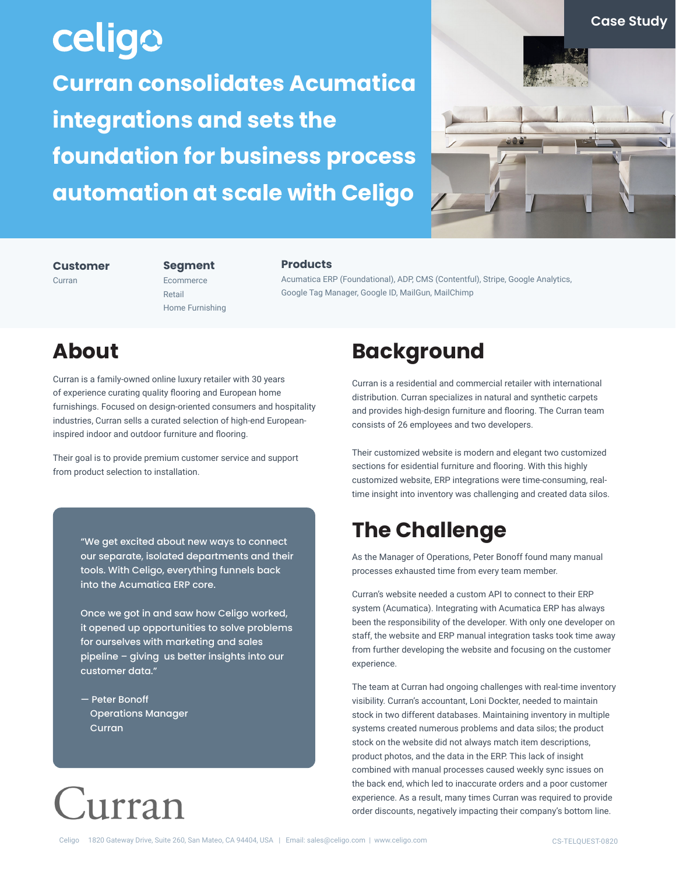## celigo **Curran consolidates Acumatica integrations and sets the foundation for business process automation at scale with Celigo**



#### **Customer**

Curran

#### **Segment** Ecommerce

Home Furnishing

Retail

#### **Products**

Acumatica ERP (Foundational), ADP, CMS (Contentful), Stripe, Google Analytics, Google Tag Manager, Google ID, MailGun, MailChimp

### **About**

Curran is a family-owned online luxury retailer with 30 years of experience curating quality flooring and European home furnishings. Focused on design-oriented consumers and hospitality industries, Curran sells a curated selection of high-end Europeaninspired indoor and outdoor furniture and flooring.

Their goal is to provide premium customer service and support from product selection to installation.

> "We get excited about new ways to connect our separate, isolated departments and their tools. With Celigo, everything funnels back into the Acumatica ERP core.

> Once we got in and saw how Celigo worked, it opened up opportunities to solve problems for ourselves with marketing and sales pipeline – giving us better insights into our customer data."

— Peter Bonoff Operations Manager Curran

# Lurran

### **Background**

Curran is a residential and commercial retailer with international distribution. Curran specializes in natural and synthetic carpets and provides high-design furniture and flooring. The Curran team consists of 26 employees and two developers.

Their customized website is modern and elegant two customized sections for esidential furniture and flooring. With this highly customized website, ERP integrations were time-consuming, realtime insight into inventory was challenging and created data silos.

## **The Challenge**

As the Manager of Operations, Peter Bonoff found many manual processes exhausted time from every team member.

Curran's website needed a custom API to connect to their ERP system (Acumatica). Integrating with Acumatica ERP has always been the responsibility of the developer. With only one developer on staff, the website and ERP manual integration tasks took time away from further developing the website and focusing on the customer experience.

The team at Curran had ongoing challenges with real-time inventory visibility. Curran's accountant, Loni Dockter, needed to maintain stock in two different databases. Maintaining inventory in multiple systems created numerous problems and data silos; the product stock on the website did not always match item descriptions, product photos, and the data in the ERP. This lack of insight combined with manual processes caused weekly sync issues on the back end, which led to inaccurate orders and a poor customer experience. As a result, many times Curran was required to provide order discounts, negatively impacting their company's bottom line.